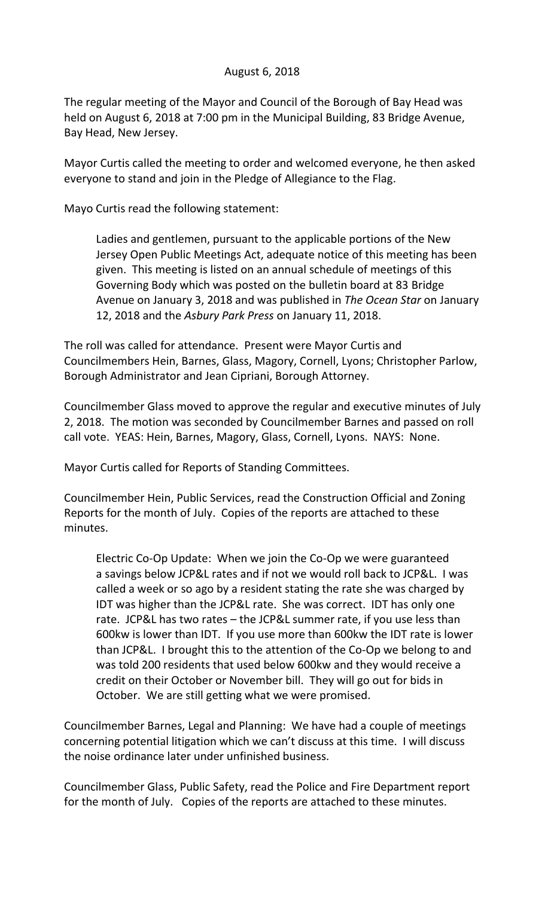## August 6, 2018

The regular meeting of the Mayor and Council of the Borough of Bay Head was held on August 6, 2018 at 7:00 pm in the Municipal Building, 83 Bridge Avenue, Bay Head, New Jersey.

Mayor Curtis called the meeting to order and welcomed everyone, he then asked everyone to stand and join in the Pledge of Allegiance to the Flag.

Mayo Curtis read the following statement:

Ladies and gentlemen, pursuant to the applicable portions of the New Jersey Open Public Meetings Act, adequate notice of this meeting has been given. This meeting is listed on an annual schedule of meetings of this Governing Body which was posted on the bulletin board at 83 Bridge Avenue on January 3, 2018 and was published in *The Ocean Star* on January 12, 2018 and the *Asbury Park Press* on January 11, 2018.

The roll was called for attendance. Present were Mayor Curtis and Councilmembers Hein, Barnes, Glass, Magory, Cornell, Lyons; Christopher Parlow, Borough Administrator and Jean Cipriani, Borough Attorney.

Councilmember Glass moved to approve the regular and executive minutes of July 2, 2018. The motion was seconded by Councilmember Barnes and passed on roll call vote. YEAS: Hein, Barnes, Magory, Glass, Cornell, Lyons. NAYS: None.

Mayor Curtis called for Reports of Standing Committees.

Councilmember Hein, Public Services, read the Construction Official and Zoning Reports for the month of July. Copies of the reports are attached to these minutes.

Electric Co-Op Update: When we join the Co-Op we were guaranteed a savings below JCP&L rates and if not we would roll back to JCP&L. I was called a week or so ago by a resident stating the rate she was charged by IDT was higher than the JCP&L rate. She was correct. IDT has only one rate. JCP&L has two rates – the JCP&L summer rate, if you use less than 600kw is lower than IDT. If you use more than 600kw the IDT rate is lower than JCP&L. I brought this to the attention of the Co-Op we belong to and was told 200 residents that used below 600kw and they would receive a credit on their October or November bill. They will go out for bids in October. We are still getting what we were promised.

Councilmember Barnes, Legal and Planning: We have had a couple of meetings concerning potential litigation which we can't discuss at this time. I will discuss the noise ordinance later under unfinished business.

Councilmember Glass, Public Safety, read the Police and Fire Department report for the month of July. Copies of the reports are attached to these minutes.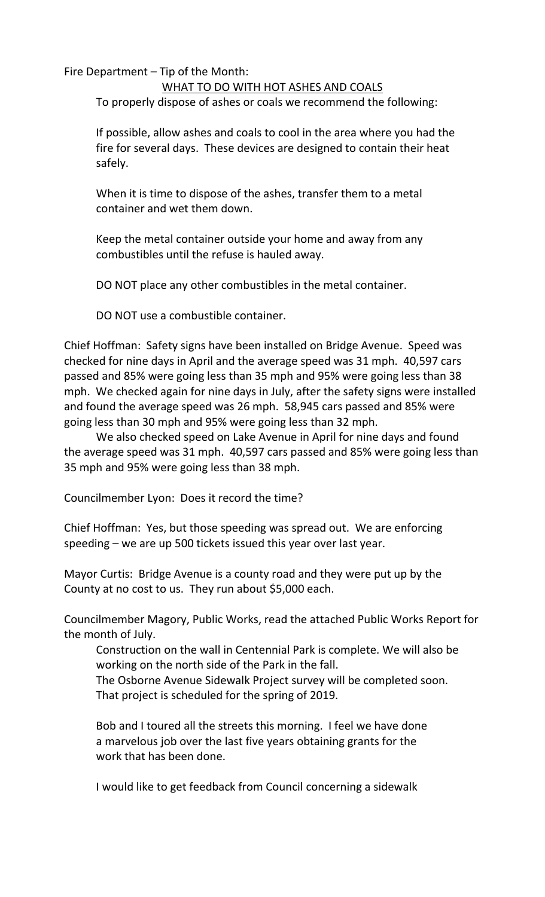## Fire Department – Tip of the Month: WHAT TO DO WITH HOT ASHES AND COALS To properly dispose of ashes or coals we recommend the following:

If possible, allow ashes and coals to cool in the area where you had the fire for several days. These devices are designed to contain their heat safely.

When it is time to dispose of the ashes, transfer them to a metal container and wet them down.

Keep the metal container outside your home and away from any combustibles until the refuse is hauled away.

DO NOT place any other combustibles in the metal container.

DO NOT use a combustible container.

Chief Hoffman: Safety signs have been installed on Bridge Avenue. Speed was checked for nine days in April and the average speed was 31 mph. 40,597 cars passed and 85% were going less than 35 mph and 95% were going less than 38 mph. We checked again for nine days in July, after the safety signs were installed and found the average speed was 26 mph. 58,945 cars passed and 85% were going less than 30 mph and 95% were going less than 32 mph.

We also checked speed on Lake Avenue in April for nine days and found the average speed was 31 mph. 40,597 cars passed and 85% were going less than 35 mph and 95% were going less than 38 mph.

Councilmember Lyon: Does it record the time?

Chief Hoffman: Yes, but those speeding was spread out. We are enforcing speeding – we are up 500 tickets issued this year over last year.

Mayor Curtis: Bridge Avenue is a county road and they were put up by the County at no cost to us. They run about \$5,000 each.

Councilmember Magory, Public Works, read the attached Public Works Report for the month of July.

Construction on the wall in Centennial Park is complete. We will also be working on the north side of the Park in the fall.

The Osborne Avenue Sidewalk Project survey will be completed soon. That project is scheduled for the spring of 2019.

Bob and I toured all the streets this morning. I feel we have done a marvelous job over the last five years obtaining grants for the work that has been done.

I would like to get feedback from Council concerning a sidewalk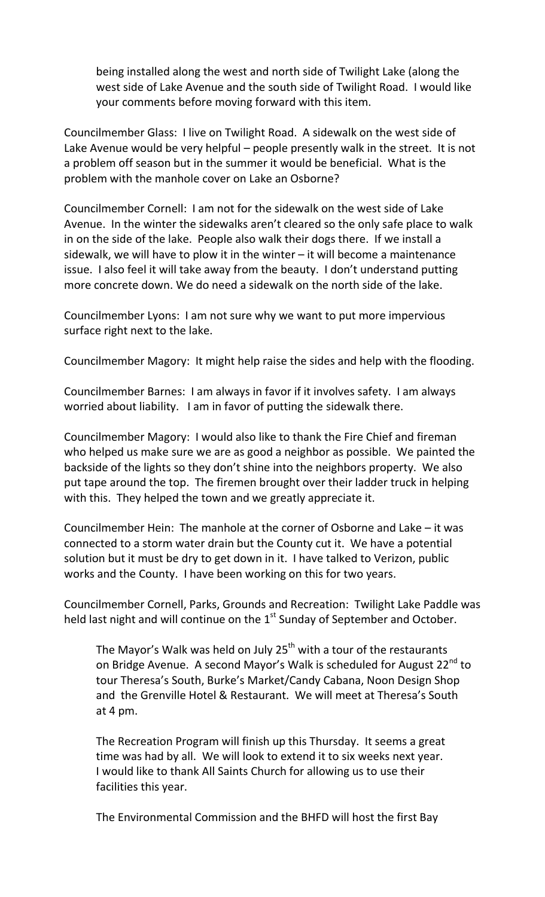being installed along the west and north side of Twilight Lake (along the west side of Lake Avenue and the south side of Twilight Road. I would like your comments before moving forward with this item.

Councilmember Glass: I live on Twilight Road. A sidewalk on the west side of Lake Avenue would be very helpful – people presently walk in the street. It is not a problem off season but in the summer it would be beneficial. What is the problem with the manhole cover on Lake an Osborne?

Councilmember Cornell: I am not for the sidewalk on the west side of Lake Avenue. In the winter the sidewalks aren't cleared so the only safe place to walk in on the side of the lake. People also walk their dogs there. If we install a sidewalk, we will have to plow it in the winter – it will become a maintenance issue. I also feel it will take away from the beauty. I don't understand putting more concrete down. We do need a sidewalk on the north side of the lake.

Councilmember Lyons: I am not sure why we want to put more impervious surface right next to the lake.

Councilmember Magory: It might help raise the sides and help with the flooding.

Councilmember Barnes: I am always in favor if it involves safety. I am always worried about liability. I am in favor of putting the sidewalk there.

Councilmember Magory: I would also like to thank the Fire Chief and fireman who helped us make sure we are as good a neighbor as possible. We painted the backside of the lights so they don't shine into the neighbors property. We also put tape around the top. The firemen brought over their ladder truck in helping with this. They helped the town and we greatly appreciate it.

Councilmember Hein: The manhole at the corner of Osborne and Lake – it was connected to a storm water drain but the County cut it. We have a potential solution but it must be dry to get down in it. I have talked to Verizon, public works and the County. I have been working on this for two years.

Councilmember Cornell, Parks, Grounds and Recreation: Twilight Lake Paddle was held last night and will continue on the  $1<sup>st</sup>$  Sunday of September and October.

The Mayor's Walk was held on July  $25<sup>th</sup>$  with a tour of the restaurants on Bridge Avenue. A second Mayor's Walk is scheduled for August 22<sup>nd</sup> to tour Theresa's South, Burke's Market/Candy Cabana, Noon Design Shop and the Grenville Hotel & Restaurant. We will meet at Theresa's South at 4 pm.

The Recreation Program will finish up this Thursday. It seems a great time was had by all. We will look to extend it to six weeks next year. I would like to thank All Saints Church for allowing us to use their facilities this year.

The Environmental Commission and the BHFD will host the first Bay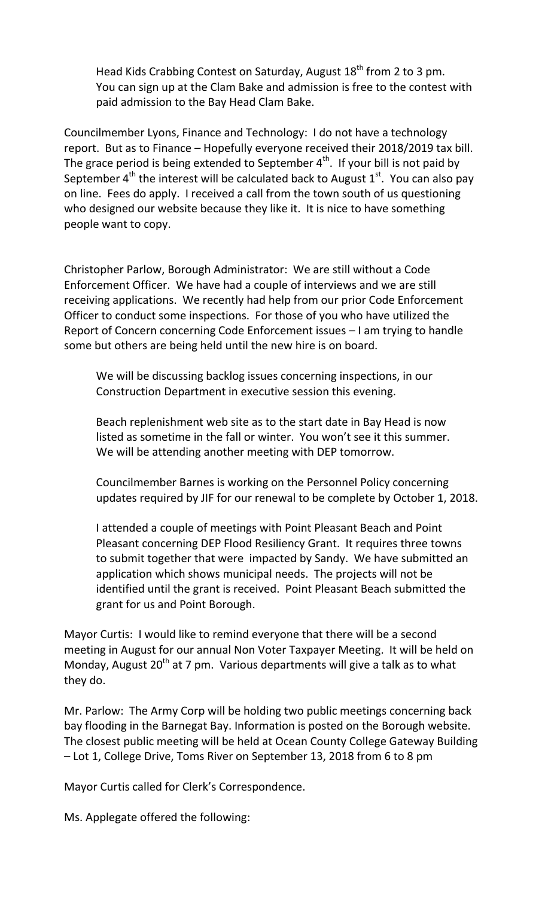Head Kids Crabbing Contest on Saturday, August  $18<sup>th</sup>$  from 2 to 3 pm. You can sign up at the Clam Bake and admission is free to the contest with paid admission to the Bay Head Clam Bake.

Councilmember Lyons, Finance and Technology: I do not have a technology report. But as to Finance – Hopefully everyone received their 2018/2019 tax bill. The grace period is being extended to September  $4<sup>th</sup>$ . If your bill is not paid by September  $4<sup>th</sup>$  the interest will be calculated back to August  $1<sup>st</sup>$ . You can also pay on line. Fees do apply. I received a call from the town south of us questioning who designed our website because they like it. It is nice to have something people want to copy.

Christopher Parlow, Borough Administrator: We are still without a Code Enforcement Officer. We have had a couple of interviews and we are still receiving applications. We recently had help from our prior Code Enforcement Officer to conduct some inspections. For those of you who have utilized the Report of Concern concerning Code Enforcement issues – I am trying to handle some but others are being held until the new hire is on board.

We will be discussing backlog issues concerning inspections, in our Construction Department in executive session this evening.

Beach replenishment web site as to the start date in Bay Head is now listed as sometime in the fall or winter. You won't see it this summer. We will be attending another meeting with DEP tomorrow.

Councilmember Barnes is working on the Personnel Policy concerning updates required by JIF for our renewal to be complete by October 1, 2018.

I attended a couple of meetings with Point Pleasant Beach and Point Pleasant concerning DEP Flood Resiliency Grant. It requires three towns to submit together that were impacted by Sandy. We have submitted an application which shows municipal needs. The projects will not be identified until the grant is received. Point Pleasant Beach submitted the grant for us and Point Borough.

Mayor Curtis: I would like to remind everyone that there will be a second meeting in August for our annual Non Voter Taxpayer Meeting. It will be held on Monday, August  $20<sup>th</sup>$  at 7 pm. Various departments will give a talk as to what they do.

Mr. Parlow: The Army Corp will be holding two public meetings concerning back bay flooding in the Barnegat Bay. Information is posted on the Borough website. The closest public meeting will be held at Ocean County College Gateway Building – Lot 1, College Drive, Toms River on September 13, 2018 from 6 to 8 pm

Mayor Curtis called for Clerk's Correspondence.

Ms. Applegate offered the following: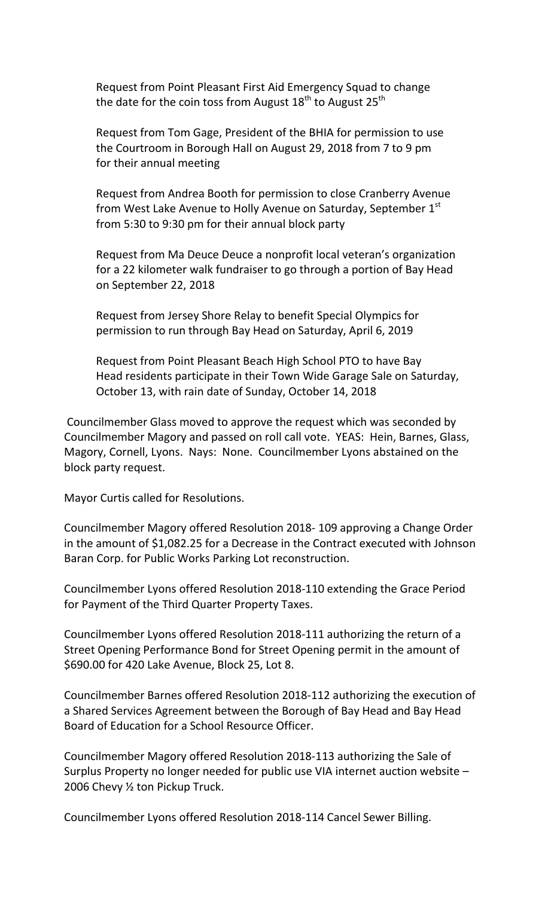Request from Point Pleasant First Aid Emergency Squad to change the date for the coin toss from August  $18^{th}$  to August  $25^{th}$ 

Request from Tom Gage, President of the BHIA for permission to use the Courtroom in Borough Hall on August 29, 2018 from 7 to 9 pm for their annual meeting

Request from Andrea Booth for permission to close Cranberry Avenue from West Lake Avenue to Holly Avenue on Saturday, September 1st from 5:30 to 9:30 pm for their annual block party

Request from Ma Deuce Deuce a nonprofit local veteran's organization for a 22 kilometer walk fundraiser to go through a portion of Bay Head on September 22, 2018

Request from Jersey Shore Relay to benefit Special Olympics for permission to run through Bay Head on Saturday, April 6, 2019

Request from Point Pleasant Beach High School PTO to have Bay Head residents participate in their Town Wide Garage Sale on Saturday, October 13, with rain date of Sunday, October 14, 2018

Councilmember Glass moved to approve the request which was seconded by Councilmember Magory and passed on roll call vote. YEAS: Hein, Barnes, Glass, Magory, Cornell, Lyons. Nays: None. Councilmember Lyons abstained on the block party request.

Mayor Curtis called for Resolutions.

Councilmember Magory offered Resolution 2018- 109 approving a Change Order in the amount of \$1,082.25 for a Decrease in the Contract executed with Johnson Baran Corp. for Public Works Parking Lot reconstruction.

Councilmember Lyons offered Resolution 2018-110 extending the Grace Period for Payment of the Third Quarter Property Taxes.

Councilmember Lyons offered Resolution 2018-111 authorizing the return of a Street Opening Performance Bond for Street Opening permit in the amount of \$690.00 for 420 Lake Avenue, Block 25, Lot 8.

Councilmember Barnes offered Resolution 2018-112 authorizing the execution of a Shared Services Agreement between the Borough of Bay Head and Bay Head Board of Education for a School Resource Officer.

Councilmember Magory offered Resolution 2018-113 authorizing the Sale of Surplus Property no longer needed for public use VIA internet auction website – 2006 Chevy ½ ton Pickup Truck.

Councilmember Lyons offered Resolution 2018-114 Cancel Sewer Billing.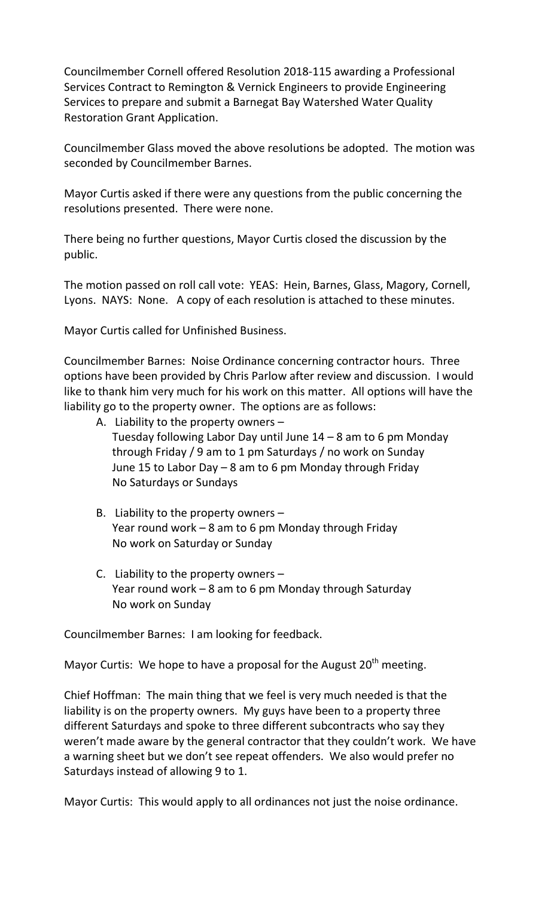Councilmember Cornell offered Resolution 2018-115 awarding a Professional Services Contract to Remington & Vernick Engineers to provide Engineering Services to prepare and submit a Barnegat Bay Watershed Water Quality Restoration Grant Application.

Councilmember Glass moved the above resolutions be adopted. The motion was seconded by Councilmember Barnes.

Mayor Curtis asked if there were any questions from the public concerning the resolutions presented. There were none.

There being no further questions, Mayor Curtis closed the discussion by the public.

The motion passed on roll call vote: YEAS: Hein, Barnes, Glass, Magory, Cornell, Lyons. NAYS: None. A copy of each resolution is attached to these minutes.

Mayor Curtis called for Unfinished Business.

Councilmember Barnes: Noise Ordinance concerning contractor hours. Three options have been provided by Chris Parlow after review and discussion. I would like to thank him very much for his work on this matter. All options will have the liability go to the property owner. The options are as follows:

- A. Liability to the property owners Tuesday following Labor Day until June 14 – 8 am to 6 pm Monday through Friday / 9 am to 1 pm Saturdays / no work on Sunday June 15 to Labor Day – 8 am to 6 pm Monday through Friday No Saturdays or Sundays
- B. Liability to the property owners  $-$ Year round work – 8 am to 6 pm Monday through Friday No work on Saturday or Sunday
- C. Liability to the property owners Year round work – 8 am to 6 pm Monday through Saturday No work on Sunday

Councilmember Barnes: I am looking for feedback.

Mayor Curtis: We hope to have a proposal for the August  $20<sup>th</sup>$  meeting.

Chief Hoffman: The main thing that we feel is very much needed is that the liability is on the property owners. My guys have been to a property three different Saturdays and spoke to three different subcontracts who say they weren't made aware by the general contractor that they couldn't work. We have a warning sheet but we don't see repeat offenders. We also would prefer no Saturdays instead of allowing 9 to 1.

Mayor Curtis: This would apply to all ordinances not just the noise ordinance.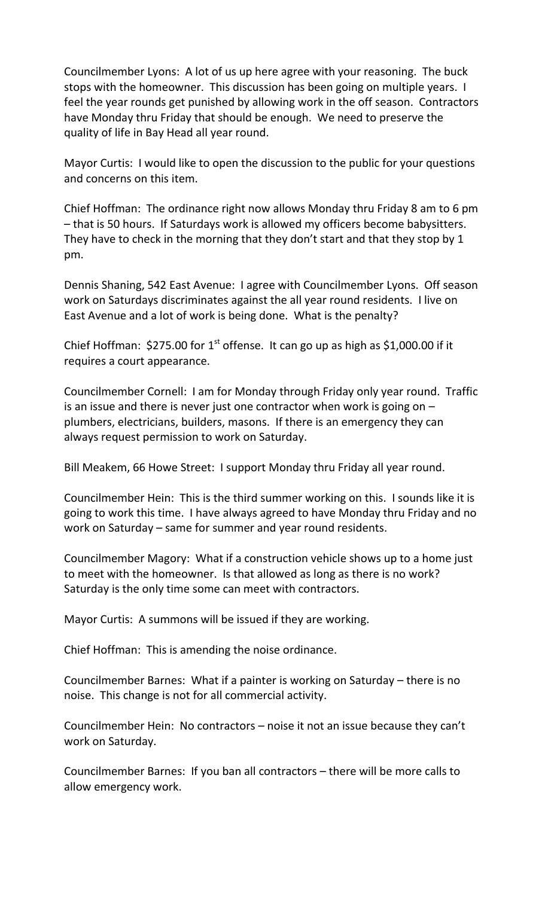Councilmember Lyons: A lot of us up here agree with your reasoning. The buck stops with the homeowner. This discussion has been going on multiple years. I feel the year rounds get punished by allowing work in the off season. Contractors have Monday thru Friday that should be enough. We need to preserve the quality of life in Bay Head all year round.

Mayor Curtis: I would like to open the discussion to the public for your questions and concerns on this item.

Chief Hoffman: The ordinance right now allows Monday thru Friday 8 am to 6 pm – that is 50 hours. If Saturdays work is allowed my officers become babysitters. They have to check in the morning that they don't start and that they stop by 1 pm.

Dennis Shaning, 542 East Avenue: I agree with Councilmember Lyons. Off season work on Saturdays discriminates against the all year round residents. I live on East Avenue and a lot of work is being done. What is the penalty?

Chief Hoffman:  $$275.00$  for 1<sup>st</sup> offense. It can go up as high as  $$1,000.00$  if it requires a court appearance.

Councilmember Cornell: I am for Monday through Friday only year round. Traffic is an issue and there is never just one contractor when work is going on – plumbers, electricians, builders, masons. If there is an emergency they can always request permission to work on Saturday.

Bill Meakem, 66 Howe Street: I support Monday thru Friday all year round.

Councilmember Hein: This is the third summer working on this. I sounds like it is going to work this time. I have always agreed to have Monday thru Friday and no work on Saturday – same for summer and year round residents.

Councilmember Magory: What if a construction vehicle shows up to a home just to meet with the homeowner. Is that allowed as long as there is no work? Saturday is the only time some can meet with contractors.

Mayor Curtis: A summons will be issued if they are working.

Chief Hoffman: This is amending the noise ordinance.

Councilmember Barnes: What if a painter is working on Saturday – there is no noise. This change is not for all commercial activity.

Councilmember Hein: No contractors – noise it not an issue because they can't work on Saturday.

Councilmember Barnes: If you ban all contractors – there will be more calls to allow emergency work.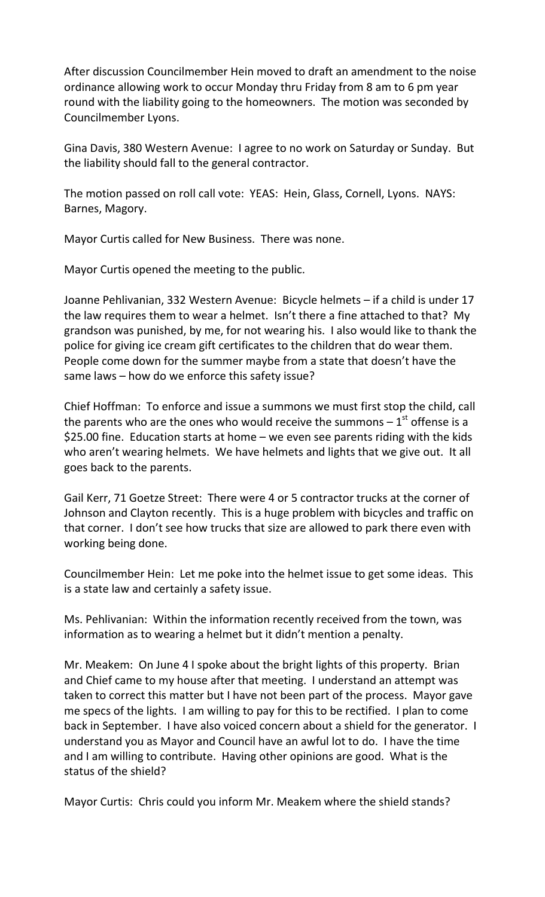After discussion Councilmember Hein moved to draft an amendment to the noise ordinance allowing work to occur Monday thru Friday from 8 am to 6 pm year round with the liability going to the homeowners. The motion was seconded by Councilmember Lyons.

Gina Davis, 380 Western Avenue: I agree to no work on Saturday or Sunday. But the liability should fall to the general contractor.

The motion passed on roll call vote: YEAS: Hein, Glass, Cornell, Lyons. NAYS: Barnes, Magory.

Mayor Curtis called for New Business. There was none.

Mayor Curtis opened the meeting to the public.

Joanne Pehlivanian, 332 Western Avenue: Bicycle helmets – if a child is under 17 the law requires them to wear a helmet. Isn't there a fine attached to that? My grandson was punished, by me, for not wearing his. I also would like to thank the police for giving ice cream gift certificates to the children that do wear them. People come down for the summer maybe from a state that doesn't have the same laws – how do we enforce this safety issue?

Chief Hoffman: To enforce and issue a summons we must first stop the child, call the parents who are the ones who would receive the summons  $-1^\text{st}$  offense is a \$25.00 fine. Education starts at home – we even see parents riding with the kids who aren't wearing helmets. We have helmets and lights that we give out. It all goes back to the parents.

Gail Kerr, 71 Goetze Street: There were 4 or 5 contractor trucks at the corner of Johnson and Clayton recently. This is a huge problem with bicycles and traffic on that corner. I don't see how trucks that size are allowed to park there even with working being done.

Councilmember Hein: Let me poke into the helmet issue to get some ideas. This is a state law and certainly a safety issue.

Ms. Pehlivanian: Within the information recently received from the town, was information as to wearing a helmet but it didn't mention a penalty.

Mr. Meakem: On June 4 I spoke about the bright lights of this property. Brian and Chief came to my house after that meeting. I understand an attempt was taken to correct this matter but I have not been part of the process. Mayor gave me specs of the lights. I am willing to pay for this to be rectified. I plan to come back in September. I have also voiced concern about a shield for the generator. I understand you as Mayor and Council have an awful lot to do. I have the time and I am willing to contribute. Having other opinions are good. What is the status of the shield?

Mayor Curtis: Chris could you inform Mr. Meakem where the shield stands?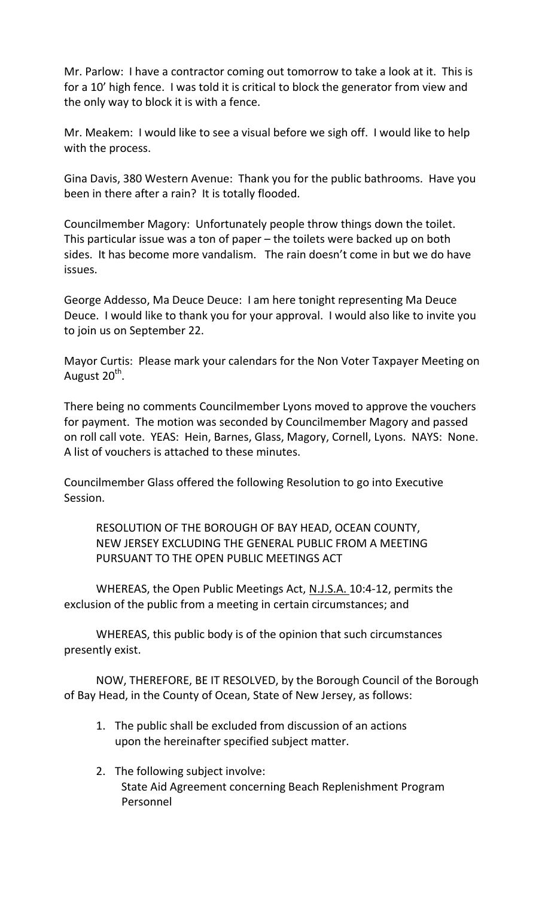Mr. Parlow: I have a contractor coming out tomorrow to take a look at it. This is for a 10' high fence. I was told it is critical to block the generator from view and the only way to block it is with a fence.

Mr. Meakem: I would like to see a visual before we sigh off. I would like to help with the process.

Gina Davis, 380 Western Avenue: Thank you for the public bathrooms. Have you been in there after a rain? It is totally flooded.

Councilmember Magory: Unfortunately people throw things down the toilet. This particular issue was a ton of paper – the toilets were backed up on both sides. It has become more vandalism. The rain doesn't come in but we do have issues.

George Addesso, Ma Deuce Deuce: I am here tonight representing Ma Deuce Deuce. I would like to thank you for your approval. I would also like to invite you to join us on September 22.

Mayor Curtis: Please mark your calendars for the Non Voter Taxpayer Meeting on August 20<sup>th</sup>.

There being no comments Councilmember Lyons moved to approve the vouchers for payment. The motion was seconded by Councilmember Magory and passed on roll call vote. YEAS: Hein, Barnes, Glass, Magory, Cornell, Lyons. NAYS: None. A list of vouchers is attached to these minutes.

Councilmember Glass offered the following Resolution to go into Executive Session.

RESOLUTION OF THE BOROUGH OF BAY HEAD, OCEAN COUNTY, NEW JERSEY EXCLUDING THE GENERAL PUBLIC FROM A MEETING PURSUANT TO THE OPEN PUBLIC MEETINGS ACT

WHEREAS, the Open Public Meetings Act, N.J.S.A. 10:4-12, permits the exclusion of the public from a meeting in certain circumstances; and

WHEREAS, this public body is of the opinion that such circumstances presently exist.

NOW, THEREFORE, BE IT RESOLVED, by the Borough Council of the Borough of Bay Head, in the County of Ocean, State of New Jersey, as follows:

- 1. The public shall be excluded from discussion of an actions upon the hereinafter specified subject matter.
- 2. The following subject involve: State Aid Agreement concerning Beach Replenishment Program Personnel